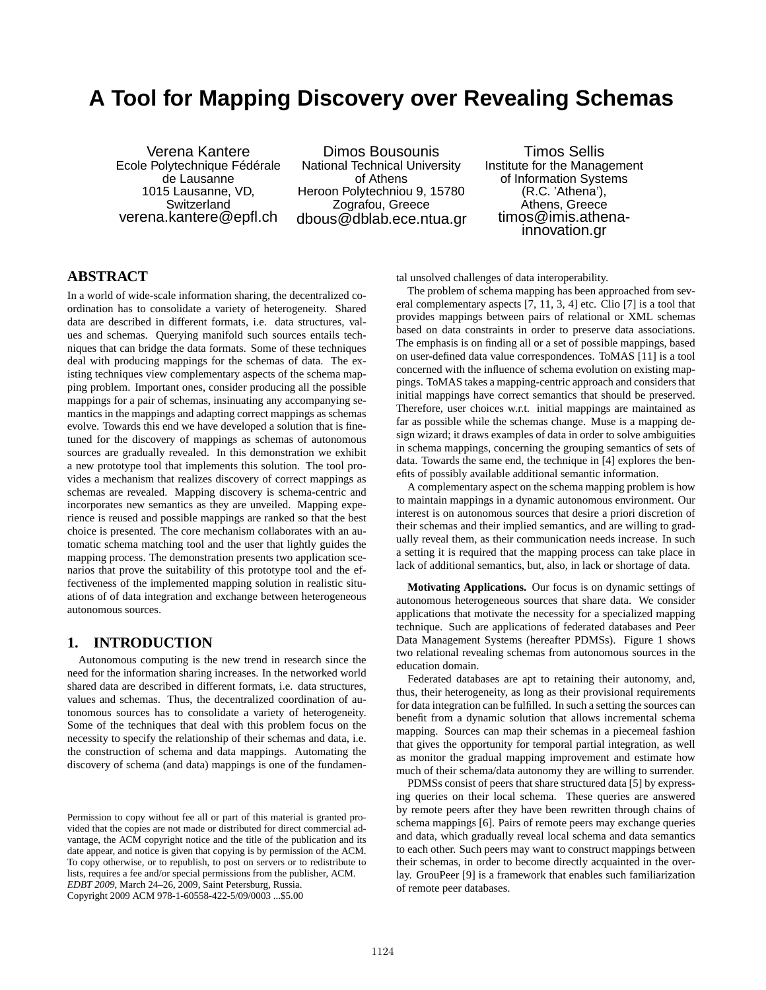# **A Tool for Mapping Discovery over Revealing Schemas**

Verena Kantere Ecole Polytechnique Fédérale de Lausanne 1015 Lausanne, VD, **Switzerland** verena.kantere@epfl.ch

Dimos Bousounis National Technical University of Athens Heroon Polytechniou 9, 15780 Zografou, Greece dbous@dblab.ece.ntua.gr

Timos Sellis Institute for the Management of Information Systems (R.C. 'Athena'), Athens, Greece timos@imis.athenainnovation.gr

# **ABSTRACT**

In a world of wide-scale information sharing, the decentralized coordination has to consolidate a variety of heterogeneity. Shared data are described in different formats, i.e. data structures, values and schemas. Querying manifold such sources entails techniques that can bridge the data formats. Some of these techniques deal with producing mappings for the schemas of data. The existing techniques view complementary aspects of the schema mapping problem. Important ones, consider producing all the possible mappings for a pair of schemas, insinuating any accompanying semantics in the mappings and adapting correct mappings as schemas evolve. Towards this end we have developed a solution that is finetuned for the discovery of mappings as schemas of autonomous sources are gradually revealed. In this demonstration we exhibit a new prototype tool that implements this solution. The tool provides a mechanism that realizes discovery of correct mappings as schemas are revealed. Mapping discovery is schema-centric and incorporates new semantics as they are unveiled. Mapping experience is reused and possible mappings are ranked so that the best choice is presented. The core mechanism collaborates with an automatic schema matching tool and the user that lightly guides the mapping process. The demonstration presents two application scenarios that prove the suitability of this prototype tool and the effectiveness of the implemented mapping solution in realistic situations of of data integration and exchange between heterogeneous autonomous sources.

### **1. INTRODUCTION**

Autonomous computing is the new trend in research since the need for the information sharing increases. In the networked world shared data are described in different formats, i.e. data structures, values and schemas. Thus, the decentralized coordination of autonomous sources has to consolidate a variety of heterogeneity. Some of the techniques that deal with this problem focus on the necessity to specify the relationship of their schemas and data, i.e. the construction of schema and data mappings. Automating the discovery of schema (and data) mappings is one of the fundamental unsolved challenges of data interoperability.

The problem of schema mapping has been approached from several complementary aspects [7, 11, 3, 4] etc. Clio [7] is a tool that provides mappings between pairs of relational or XML schemas based on data constraints in order to preserve data associations. The emphasis is on finding all or a set of possible mappings, based on user-defined data value correspondences. ToMAS [11] is a tool concerned with the influence of schema evolution on existing mappings. ToMAS takes a mapping-centric approach and considers that initial mappings have correct semantics that should be preserved. Therefore, user choices w.r.t. initial mappings are maintained as far as possible while the schemas change. Muse is a mapping design wizard; it draws examples of data in order to solve ambiguities in schema mappings, concerning the grouping semantics of sets of data. Towards the same end, the technique in [4] explores the benefits of possibly available additional semantic information.

A complementary aspect on the schema mapping problem is how to maintain mappings in a dynamic autonomous environment. Our interest is on autonomous sources that desire a priori discretion of their schemas and their implied semantics, and are willing to gradually reveal them, as their communication needs increase. In such a setting it is required that the mapping process can take place in lack of additional semantics, but, also, in lack or shortage of data.

**Motivating Applications.** Our focus is on dynamic settings of autonomous heterogeneous sources that share data. We consider applications that motivate the necessity for a specialized mapping technique. Such are applications of federated databases and Peer Data Management Systems (hereafter PDMSs). Figure 1 shows two relational revealing schemas from autonomous sources in the education domain.

Federated databases are apt to retaining their autonomy, and, thus, their heterogeneity, as long as their provisional requirements for data integration can be fulfilled. In such a setting the sources can benefit from a dynamic solution that allows incremental schema mapping. Sources can map their schemas in a piecemeal fashion that gives the opportunity for temporal partial integration, as well as monitor the gradual mapping improvement and estimate how much of their schema/data autonomy they are willing to surrender.

PDMSs consist of peers that share structured data [5] by expressing queries on their local schema. These queries are answered by remote peers after they have been rewritten through chains of schema mappings [6]. Pairs of remote peers may exchange queries and data, which gradually reveal local schema and data semantics to each other. Such peers may want to construct mappings between their schemas, in order to become directly acquainted in the overlay. GrouPeer [9] is a framework that enables such familiarization of remote peer databases.

Permission to copy without fee all or part of this material is granted provided that the copies are not made or distributed for direct commercial advantage, the ACM copyright notice and the title of the publication and its date appear, and notice is given that copying is by permission of the ACM. To copy otherwise, or to republish, to post on servers or to redistribute to lists, requires a fee and/or special permissions from the publisher, ACM. *EDBT 2009*, March 24–26, 2009, Saint Petersburg, Russia. Copyright 2009 ACM 978-1-60558-422-5/09/0003 ...\$5.00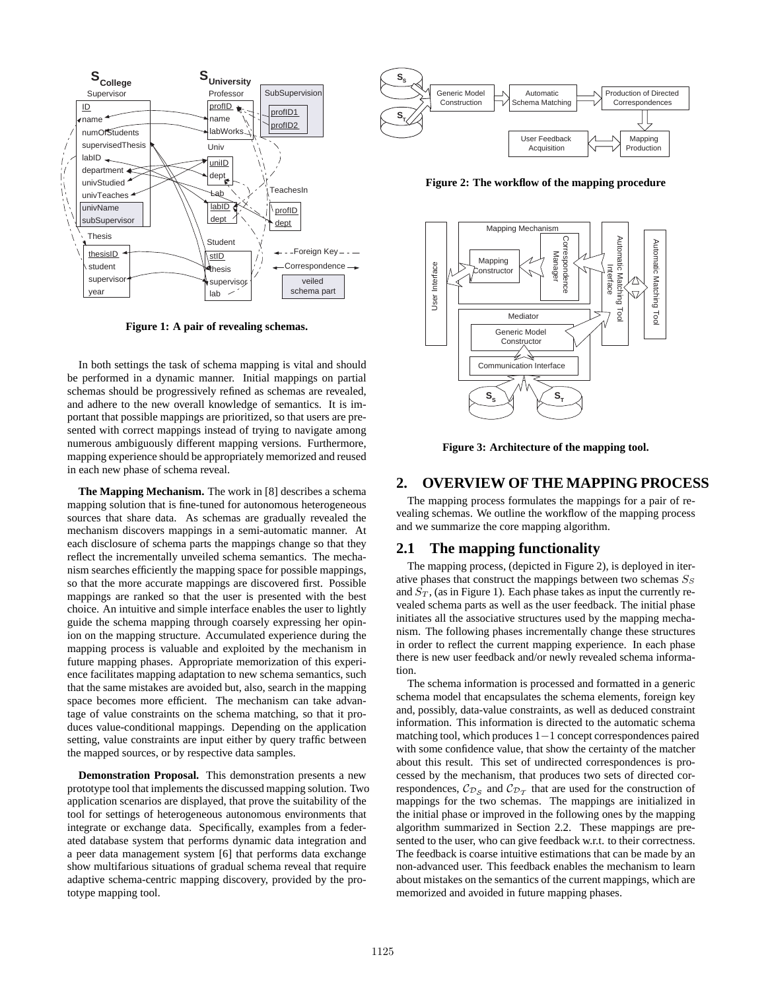

**Figure 1: A pair of revealing schemas.**

In both settings the task of schema mapping is vital and should be performed in a dynamic manner. Initial mappings on partial schemas should be progressively refined as schemas are revealed, and adhere to the new overall knowledge of semantics. It is important that possible mappings are prioritized, so that users are presented with correct mappings instead of trying to navigate among numerous ambiguously different mapping versions. Furthermore, mapping experience should be appropriately memorized and reused in each new phase of schema reveal.

**The Mapping Mechanism.** The work in [8] describes a schema mapping solution that is fine-tuned for autonomous heterogeneous sources that share data. As schemas are gradually revealed the mechanism discovers mappings in a semi-automatic manner. At each disclosure of schema parts the mappings change so that they reflect the incrementally unveiled schema semantics. The mechanism searches efficiently the mapping space for possible mappings, so that the more accurate mappings are discovered first. Possible mappings are ranked so that the user is presented with the best choice. An intuitive and simple interface enables the user to lightly guide the schema mapping through coarsely expressing her opinion on the mapping structure. Accumulated experience during the mapping process is valuable and exploited by the mechanism in future mapping phases. Appropriate memorization of this experience facilitates mapping adaptation to new schema semantics, such that the same mistakes are avoided but, also, search in the mapping space becomes more efficient. The mechanism can take advantage of value constraints on the schema matching, so that it produces value-conditional mappings. Depending on the application setting, value constraints are input either by query traffic between the mapped sources, or by respective data samples.

**Demonstration Proposal.** This demonstration presents a new prototype tool that implements the discussed mapping solution. Two application scenarios are displayed, that prove the suitability of the tool for settings of heterogeneous autonomous environments that integrate or exchange data. Specifically, examples from a federated database system that performs dynamic data integration and a peer data management system [6] that performs data exchange show multifarious situations of gradual schema reveal that require adaptive schema-centric mapping discovery, provided by the prototype mapping tool.



**Figure 2: The workflow of the mapping procedure**



**Figure 3: Architecture of the mapping tool.**

# **2. OVERVIEW OF THE MAPPING PROCESS**

The mapping process formulates the mappings for a pair of revealing schemas. We outline the workflow of the mapping process and we summarize the core mapping algorithm.

#### **2.1 The mapping functionality**

The mapping process, (depicted in Figure 2), is deployed in iterative phases that construct the mappings between two schemas  $S<sub>S</sub>$ and  $S_T$ , (as in Figure 1). Each phase takes as input the currently revealed schema parts as well as the user feedback. The initial phase initiates all the associative structures used by the mapping mechanism. The following phases incrementally change these structures in order to reflect the current mapping experience. In each phase there is new user feedback and/or newly revealed schema information.

The schema information is processed and formatted in a generic schema model that encapsulates the schema elements, foreign key and, possibly, data-value constraints, as well as deduced constraint information. This information is directed to the automatic schema matching tool, which produces 1−1 concept correspondences paired with some confidence value, that show the certainty of the matcher about this result. This set of undirected correspondences is processed by the mechanism, that produces two sets of directed correspondences,  $\mathcal{C}_{\mathcal{D}_S}$  and  $\mathcal{C}_{\mathcal{D}_T}$  that are used for the construction of mappings for the two schemas. The mappings are initialized in the initial phase or improved in the following ones by the mapping algorithm summarized in Section 2.2. These mappings are presented to the user, who can give feedback w.r.t. to their correctness. The feedback is coarse intuitive estimations that can be made by an non-advanced user. This feedback enables the mechanism to learn about mistakes on the semantics of the current mappings, which are memorized and avoided in future mapping phases.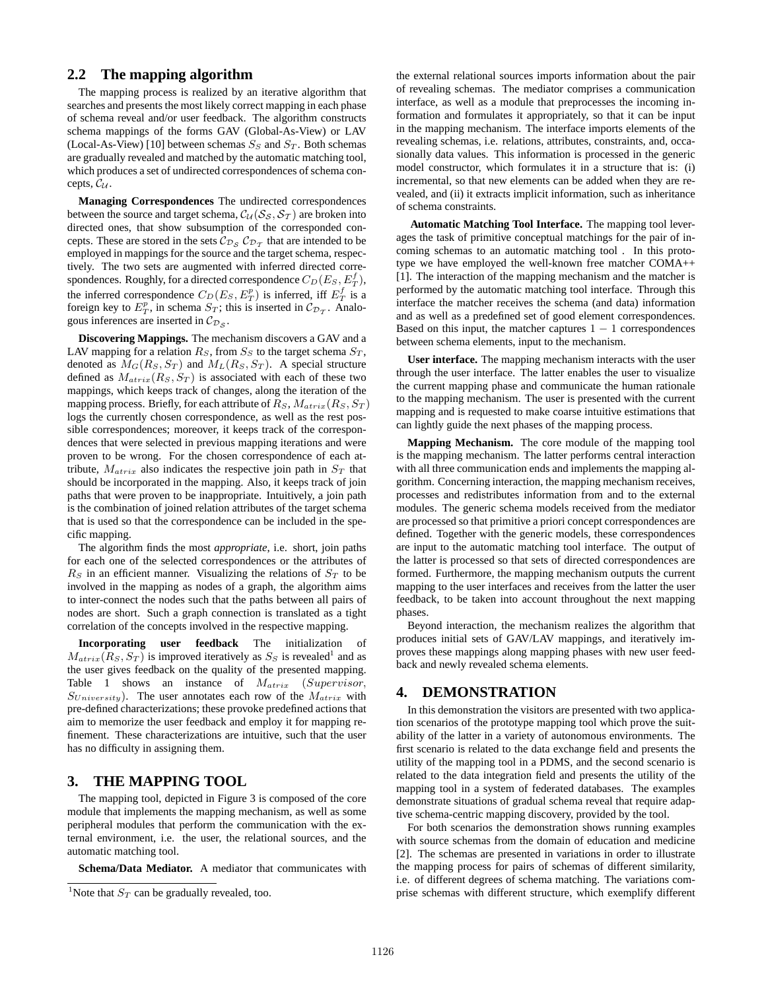# **2.2 The mapping algorithm**

The mapping process is realized by an iterative algorithm that searches and presents the most likely correct mapping in each phase of schema reveal and/or user feedback. The algorithm constructs schema mappings of the forms GAV (Global-As-View) or LAV (Local-As-View) [10] between schemas  $S_S$  and  $S_T$ . Both schemas are gradually revealed and matched by the automatic matching tool, which produces a set of undirected correspondences of schema concepts,  $C_{\mathcal{U}}$ .

**Managing Correspondences** The undirected correspondences between the source and target schema,  $C_{\mathcal{U}}(S_{\mathcal{S}}, S_{\mathcal{T}})$  are broken into directed ones, that show subsumption of the corresponded concepts. These are stored in the sets  $\mathcal{C}_{\mathcal{D}_S}$   $\mathcal{C}_{\mathcal{D}_T}$  that are intended to be employed in mappings for the source and the target schema, respectively. The two sets are augmented with inferred directed correspondences. Roughly, for a directed correspondence  $C_D(E_S, E_T^f)$ , the inferred correspondence  $C_D(E_S, E_T^p)$  is inferred, iff  $E_T^f$  is a foreign key to  $E_T^p$ , in schema  $S_T$ ; this is inserted in  $\mathcal{C}_{\mathcal{D}_T}$ . Analogous inferences are inserted in  $\mathcal{C}_{\mathcal{D}_\mathcal{S}}$ .

**Discovering Mappings.** The mechanism discovers a GAV and a LAV mapping for a relation  $R<sub>S</sub>$ , from  $S<sub>S</sub>$  to the target schema  $S<sub>T</sub>$ , denoted as  $M_G(R_S, S_T)$  and  $M_L(R_S, S_T)$ . A special structure defined as  $M_{atrix}(R_S, S_T)$  is associated with each of these two mappings, which keeps track of changes, along the iteration of the mapping process. Briefly, for each attribute of  $R_S$ ,  $M_{atrix}(R_S, S_T)$ logs the currently chosen correspondence, as well as the rest possible correspondences; moreover, it keeps track of the correspondences that were selected in previous mapping iterations and were proven to be wrong. For the chosen correspondence of each attribute,  $M_{atrix}$  also indicates the respective join path in  $S_T$  that should be incorporated in the mapping. Also, it keeps track of join paths that were proven to be inappropriate. Intuitively, a join path is the combination of joined relation attributes of the target schema that is used so that the correspondence can be included in the specific mapping.

The algorithm finds the most *appropriate*, i.e. short, join paths for each one of the selected correspondences or the attributes of  $R<sub>S</sub>$  in an efficient manner. Visualizing the relations of  $S<sub>T</sub>$  to be involved in the mapping as nodes of a graph, the algorithm aims to inter-connect the nodes such that the paths between all pairs of nodes are short. Such a graph connection is translated as a tight correlation of the concepts involved in the respective mapping.

**Incorporating user feedback** The initialization of  $M_{atrix}(R_S, S_T)$  is improved iteratively as  $S_S$  is revealed<sup>1</sup> and as the user gives feedback on the quality of the presented mapping. Table 1 shows an instance of  $M_{atrix}$  (Supervisor,  $S_{University}$ ). The user annotates each row of the  $M_{atrix}$  with pre-defined characterizations; these provoke predefined actions that aim to memorize the user feedback and employ it for mapping refinement. These characterizations are intuitive, such that the user has no difficulty in assigning them.

# **3. THE MAPPING TOOL**

The mapping tool, depicted in Figure 3 is composed of the core module that implements the mapping mechanism, as well as some peripheral modules that perform the communication with the external environment, i.e. the user, the relational sources, and the automatic matching tool.

**Schema/Data Mediator.** A mediator that communicates with

the external relational sources imports information about the pair of revealing schemas. The mediator comprises a communication interface, as well as a module that preprocesses the incoming information and formulates it appropriately, so that it can be input in the mapping mechanism. The interface imports elements of the revealing schemas, i.e. relations, attributes, constraints, and, occasionally data values. This information is processed in the generic model constructor, which formulates it in a structure that is: (i) incremental, so that new elements can be added when they are revealed, and (ii) it extracts implicit information, such as inheritance of schema constraints.

**Automatic Matching Tool Interface.** The mapping tool leverages the task of primitive conceptual matchings for the pair of incoming schemas to an automatic matching tool . In this prototype we have employed the well-known free matcher COMA++ [1]. The interaction of the mapping mechanism and the matcher is performed by the automatic matching tool interface. Through this interface the matcher receives the schema (and data) information and as well as a predefined set of good element correspondences. Based on this input, the matcher captures  $1 - 1$  correspondences between schema elements, input to the mechanism.

**User interface.** The mapping mechanism interacts with the user through the user interface. The latter enables the user to visualize the current mapping phase and communicate the human rationale to the mapping mechanism. The user is presented with the current mapping and is requested to make coarse intuitive estimations that can lightly guide the next phases of the mapping process.

**Mapping Mechanism.** The core module of the mapping tool is the mapping mechanism. The latter performs central interaction with all three communication ends and implements the mapping algorithm. Concerning interaction, the mapping mechanism receives, processes and redistributes information from and to the external modules. The generic schema models received from the mediator are processed so that primitive a priori concept correspondences are defined. Together with the generic models, these correspondences are input to the automatic matching tool interface. The output of the latter is processed so that sets of directed correspondences are formed. Furthermore, the mapping mechanism outputs the current mapping to the user interfaces and receives from the latter the user feedback, to be taken into account throughout the next mapping phases.

Beyond interaction, the mechanism realizes the algorithm that produces initial sets of GAV/LAV mappings, and iteratively improves these mappings along mapping phases with new user feedback and newly revealed schema elements.

#### **4. DEMONSTRATION**

In this demonstration the visitors are presented with two application scenarios of the prototype mapping tool which prove the suitability of the latter in a variety of autonomous environments. The first scenario is related to the data exchange field and presents the utility of the mapping tool in a PDMS, and the second scenario is related to the data integration field and presents the utility of the mapping tool in a system of federated databases. The examples demonstrate situations of gradual schema reveal that require adaptive schema-centric mapping discovery, provided by the tool.

For both scenarios the demonstration shows running examples with source schemas from the domain of education and medicine [2]. The schemas are presented in variations in order to illustrate the mapping process for pairs of schemas of different similarity, i.e. of different degrees of schema matching. The variations comprise schemas with different structure, which exemplify different

<sup>&</sup>lt;sup>1</sup>Note that  $S_T$  can be gradually revealed, too.